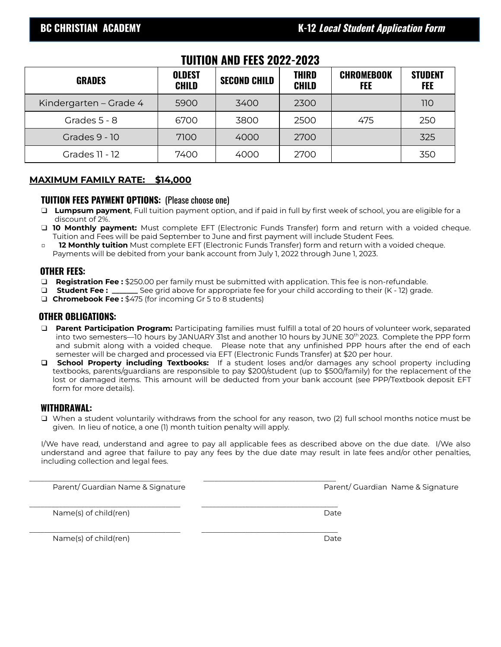## **TUITION AND FEES 2022-2023**

| <b>GRADES</b>          | <b>OLDEST</b><br><b>CHILD</b> | <b>SECOND CHILD</b> | <b>THIRD</b><br><b>CHILD</b> | <b>CHROMEBOOK</b><br>FEE | <b>STUDENT</b><br><b>FEE</b> |
|------------------------|-------------------------------|---------------------|------------------------------|--------------------------|------------------------------|
| Kindergarten – Grade 4 | 5900                          | 3400                | 2300                         |                          | 110                          |
| Grades 5 - 8           | 6700                          | 3800                | 2500                         | 475                      | 250                          |
| Grades 9 - 10          | 7100                          | 4000                | 2700                         |                          | 325                          |
| <b>Grades 11 - 12</b>  | 7400                          | 4000                | 2700                         |                          | 350                          |

## **MAXIMUM FAMILY RATE: \$14,000**

#### **TUITION FEES PAYMENT OPTIONS:** (Please choose one)

- ❑ **Lumpsum payment**, Full tuition payment option, and if paid in full by first week of school, you are eligible for a discount of 2%.
- ❑ **10 Monthly payment:** Must complete EFT (Electronic Funds Transfer) form and return with a voided cheque. Tuition and Fees will be paid September to June and first payment will include Student Fees.
- □ **12 Monthly tuition** Must complete EFT (Electronic Funds Transfer) form and return with a voided cheque. Payments will be debited from your bank account from July 1, 2022 through June 1, 2023.

#### **OTHER FEES:**

- ❑ **Registration Fee :** \$250.00 per family must be submitted with application. This fee is non-refundable.
- ❑ **Student Fee : \_\_\_\_\_\_\_** See grid above for appropriate fee for your child according to their (K 12) grade.
- ❑ **Chromebook Fee :** \$475 (for incoming Gr 5 to 8 students)

## **OTHER OBLIGATIONS:**

- ❑ **Parent Participation Program:** Participating families must fulfill a total of 20 hours of volunteer work, separated into two semesters—10 hours by JANUARY 31st and another 10 hours by JUNE 30<sup>th</sup> 2023. Complete the PPP form and submit along with a voided cheque. Please note that any unfinished PPP hours after the end of each semester will be charged and processed via EFT (Electronic Funds Transfer) at \$20 per hour.
- ❑ **School Property including Textbooks:** If a student loses and/or damages any school property including textbooks, parents/guardians are responsible to pay \$200/student (up to \$500/family) for the replacement of the lost or damaged items. This amount will be deducted from your bank account (see PPP/Textbook deposit EFT form for more details).

### **WITHDRAWAL:**

❑ When a student voluntarily withdraws from the school for any reason, two (2) full school months notice must be given. In lieu of notice, a one (1) month tuition penalty will apply.

I/We have read, understand and agree to pay all applicable fees as described above on the due date. I/We also understand and agree that failure to pay any fees by the due date may result in late fees and/or other penalties, including collection and legal fees.

\_\_\_\_\_\_\_\_\_\_\_\_\_\_\_\_\_\_\_\_\_\_\_\_\_\_\_\_\_\_\_\_\_\_\_\_\_\_\_\_\_ \_\_\_\_\_\_\_\_\_\_\_\_\_\_\_\_\_\_\_\_\_\_\_\_\_\_\_\_\_\_\_\_\_\_\_\_

Parent/ Guardian Name & Signature Parent/ Guardian Name & Signature

\_\_\_\_\_\_\_\_\_\_\_\_\_\_\_\_\_\_\_\_\_\_\_\_\_\_\_\_\_\_\_\_\_\_\_\_\_\_\_\_\_ \_\_\_\_\_\_\_\_\_\_\_\_\_\_\_\_\_\_\_\_\_\_\_\_\_\_\_\_\_\_\_\_\_\_\_\_\_ Name(s) of child(ren) and the control of child (ren) and the control of child (ren) and the control of control of the control of the control of the control of the control of the control of the control of the control of the

\_\_\_\_\_\_\_\_\_\_\_\_\_\_\_\_\_\_\_\_\_\_\_\_\_\_\_\_\_\_\_\_\_\_\_\_\_\_\_\_\_ \_\_\_\_\_\_\_\_\_\_\_\_\_\_\_\_\_\_\_\_\_\_\_\_\_\_\_\_\_\_\_\_\_\_\_\_\_ Name(s) of child(ren) and the control of child (ren) and the control of child (ren) bate